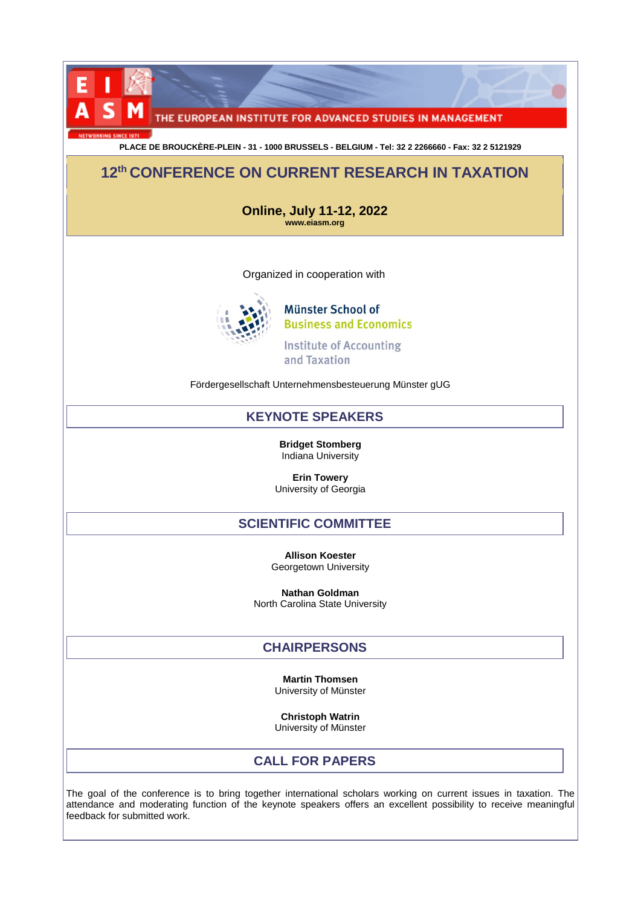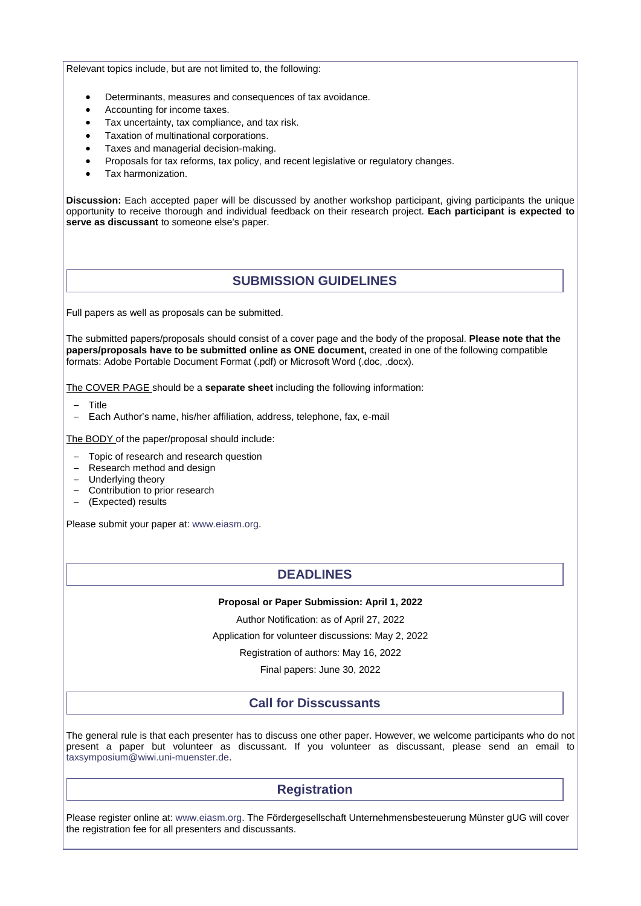Relevant topics include, but are not limited to, the following:

- Determinants, measures and consequences of tax avoidance.
- Accounting for income taxes.
- Tax uncertainty, tax compliance, and tax risk.
- Taxation of multinational corporations.
- Taxes and managerial decision-making.
- Proposals for tax reforms, tax policy, and recent legislative or regulatory changes.
- Tax harmonization.

**Discussion:** Each accepted paper will be discussed by another workshop participant, giving participants the unique opportunity to receive thorough and individual feedback on their research project. **Each participant is expected to serve as discussant** to someone else's paper.

# **SUBMISSION GUIDELINES**

Full papers as well as proposals can be submitted.

The submitted papers/proposals should consist of a cover page and the body of the proposal. **Please note that the papers/proposals have to be submitted online as ONE document,** created in one of the following compatible formats: Adobe Portable Document Format (.pdf) or Microsoft Word (.doc, .docx).

The COVER PAGE should be a **separate sheet** including the following information:

- Title
- Each Author's name, his/her affiliation, address, telephone, fax, e-mail

The BODY of the paper/proposal should include:

- Topic of research and research question
- Research method and design
- Underlying theory
- Contribution to prior research
- (Expected) results

Please submit your paper at[: www.eiasm.org.](http://www.eiasm.org/)

## **DEADLINES**

#### **Proposal or Paper Submission: April 1, 2022**

Author Notification: as of April 27, 2022

Application for volunteer discussions: May 2, 2022

Registration of authors: May 16, 2022

Final papers: June 30, 2022

## **Call for Disscussants**

The general rule is that each presenter has to discuss one other paper. However, we welcome participants who do not present a paper but volunteer as discussant. If you volunteer as discussant, please send an email to [taxsymposium@wiwi.uni-muenster.de.](mailto:taxsymposium@wiwi.uni-muenster.de)

## **Registration**

Please register online at: [www.eiasm.org.](http://www.eiasm.org/) The Fördergesellschaft Unternehmensbesteuerung Münster gUG will cover the registration fee for all presenters and discussants.